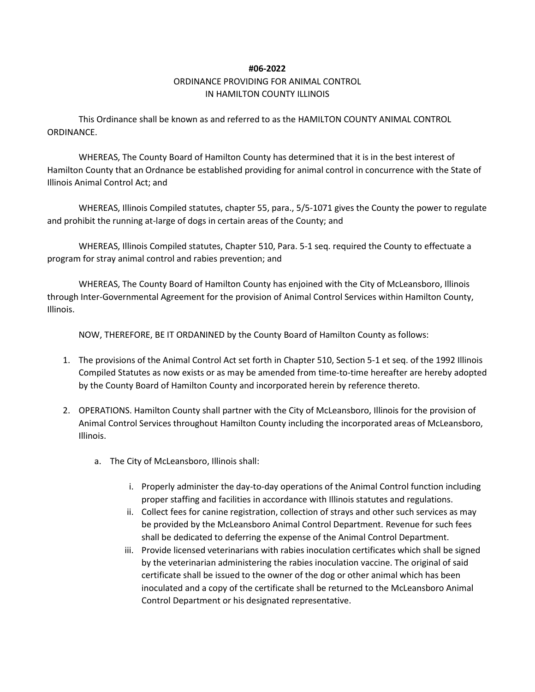## **#06-2022**

## ORDINANCE PROVIDING FOR ANIMAL CONTROL IN HAMILTON COUNTY ILLINOIS

This Ordinance shall be known as and referred to as the HAMILTON COUNTY ANIMAL CONTROL ORDINANCE.

WHEREAS, The County Board of Hamilton County has determined that it is in the best interest of Hamilton County that an Ordnance be established providing for animal control in concurrence with the State of Illinois Animal Control Act; and

WHEREAS, Illinois Compiled statutes, chapter 55, para., 5/5-1071 gives the County the power to regulate and prohibit the running at-large of dogs in certain areas of the County; and

WHEREAS, Illinois Compiled statutes, Chapter 510, Para. 5-1 seq. required the County to effectuate a program for stray animal control and rabies prevention; and

WHEREAS, The County Board of Hamilton County has enjoined with the City of McLeansboro, Illinois through Inter-Governmental Agreement for the provision of Animal Control Services within Hamilton County, Illinois.

NOW, THEREFORE, BE IT ORDANINED by the County Board of Hamilton County as follows:

- 1. The provisions of the Animal Control Act set forth in Chapter 510, Section 5-1 et seq. of the 1992 Illinois Compiled Statutes as now exists or as may be amended from time-to-time hereafter are hereby adopted by the County Board of Hamilton County and incorporated herein by reference thereto.
- 2. OPERATIONS. Hamilton County shall partner with the City of McLeansboro, Illinois for the provision of Animal Control Services throughout Hamilton County including the incorporated areas of McLeansboro, Illinois.
	- a. The City of McLeansboro, Illinois shall:
		- i. Properly administer the day-to-day operations of the Animal Control function including proper staffing and facilities in accordance with Illinois statutes and regulations.
		- ii. Collect fees for canine registration, collection of strays and other such services as may be provided by the McLeansboro Animal Control Department. Revenue for such fees shall be dedicated to deferring the expense of the Animal Control Department.
		- iii. Provide licensed veterinarians with rabies inoculation certificates which shall be signed by the veterinarian administering the rabies inoculation vaccine. The original of said certificate shall be issued to the owner of the dog or other animal which has been inoculated and a copy of the certificate shall be returned to the McLeansboro Animal Control Department or his designated representative.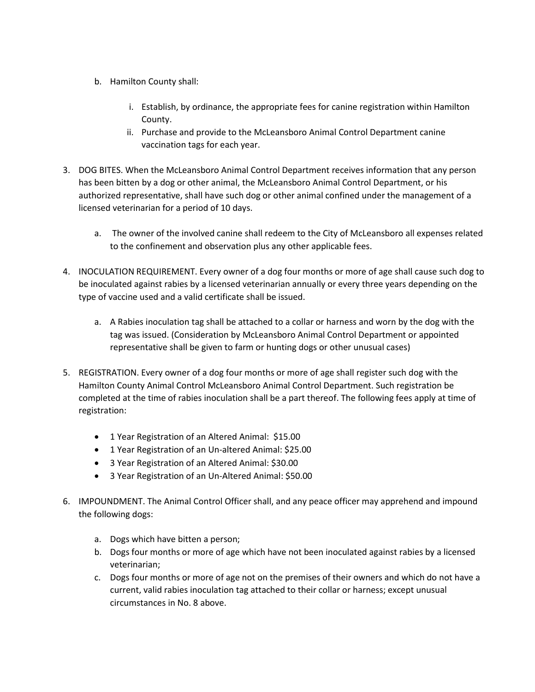- b. Hamilton County shall:
	- i. Establish, by ordinance, the appropriate fees for canine registration within Hamilton County.
	- ii. Purchase and provide to the McLeansboro Animal Control Department canine vaccination tags for each year.
- 3. DOG BITES. When the McLeansboro Animal Control Department receives information that any person has been bitten by a dog or other animal, the McLeansboro Animal Control Department, or his authorized representative, shall have such dog or other animal confined under the management of a licensed veterinarian for a period of 10 days.
	- a. The owner of the involved canine shall redeem to the City of McLeansboro all expenses related to the confinement and observation plus any other applicable fees.
- 4. INOCULATION REQUIREMENT. Every owner of a dog four months or more of age shall cause such dog to be inoculated against rabies by a licensed veterinarian annually or every three years depending on the type of vaccine used and a valid certificate shall be issued.
	- a. A Rabies inoculation tag shall be attached to a collar or harness and worn by the dog with the tag was issued. (Consideration by McLeansboro Animal Control Department or appointed representative shall be given to farm or hunting dogs or other unusual cases)
- 5. REGISTRATION. Every owner of a dog four months or more of age shall register such dog with the Hamilton County Animal Control McLeansboro Animal Control Department. Such registration be completed at the time of rabies inoculation shall be a part thereof. The following fees apply at time of registration:
	- 1 Year Registration of an Altered Animal: \$15.00
	- 1 Year Registration of an Un-altered Animal: \$25.00
	- 3 Year Registration of an Altered Animal: \$30.00
	- 3 Year Registration of an Un-Altered Animal: \$50.00
- 6. IMPOUNDMENT. The Animal Control Officer shall, and any peace officer may apprehend and impound the following dogs:
	- a. Dogs which have bitten a person;
	- b. Dogs four months or more of age which have not been inoculated against rabies by a licensed veterinarian;
	- c. Dogs four months or more of age not on the premises of their owners and which do not have a current, valid rabies inoculation tag attached to their collar or harness; except unusual circumstances in No. 8 above.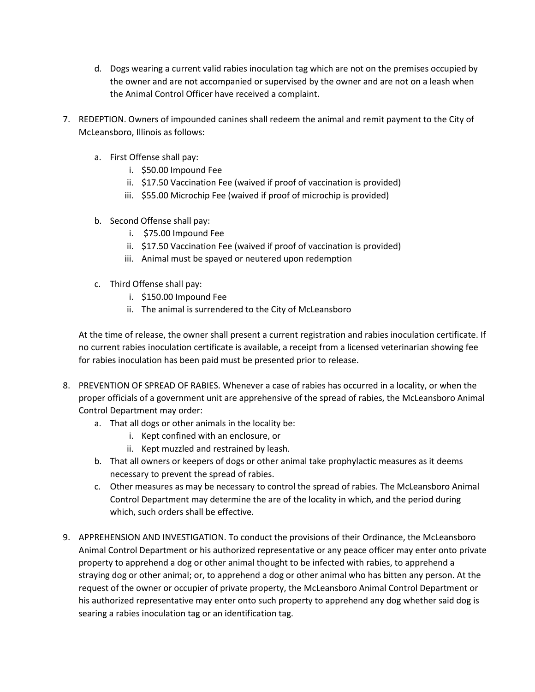- d. Dogs wearing a current valid rabies inoculation tag which are not on the premises occupied by the owner and are not accompanied or supervised by the owner and are not on a leash when the Animal Control Officer have received a complaint.
- 7. REDEPTION. Owners of impounded canines shall redeem the animal and remit payment to the City of McLeansboro, Illinois as follows:
	- a. First Offense shall pay:
		- i. \$50.00 Impound Fee
		- ii. \$17.50 Vaccination Fee (waived if proof of vaccination is provided)
		- iii. \$55.00 Microchip Fee (waived if proof of microchip is provided)
	- b. Second Offense shall pay:
		- i. \$75.00 Impound Fee
		- ii. \$17.50 Vaccination Fee (waived if proof of vaccination is provided)
		- iii. Animal must be spayed or neutered upon redemption
	- c. Third Offense shall pay:
		- i. \$150.00 Impound Fee
		- ii. The animal is surrendered to the City of McLeansboro

At the time of release, the owner shall present a current registration and rabies inoculation certificate. If no current rabies inoculation certificate is available, a receipt from a licensed veterinarian showing fee for rabies inoculation has been paid must be presented prior to release.

- 8. PREVENTION OF SPREAD OF RABIES. Whenever a case of rabies has occurred in a locality, or when the proper officials of a government unit are apprehensive of the spread of rabies, the McLeansboro Animal Control Department may order:
	- a. That all dogs or other animals in the locality be:
		- i. Kept confined with an enclosure, or
		- ii. Kept muzzled and restrained by leash.
	- b. That all owners or keepers of dogs or other animal take prophylactic measures as it deems necessary to prevent the spread of rabies.
	- c. Other measures as may be necessary to control the spread of rabies. The McLeansboro Animal Control Department may determine the are of the locality in which, and the period during which, such orders shall be effective.
- 9. APPREHENSION AND INVESTIGATION. To conduct the provisions of their Ordinance, the McLeansboro Animal Control Department or his authorized representative or any peace officer may enter onto private property to apprehend a dog or other animal thought to be infected with rabies, to apprehend a straying dog or other animal; or, to apprehend a dog or other animal who has bitten any person. At the request of the owner or occupier of private property, the McLeansboro Animal Control Department or his authorized representative may enter onto such property to apprehend any dog whether said dog is searing a rabies inoculation tag or an identification tag.